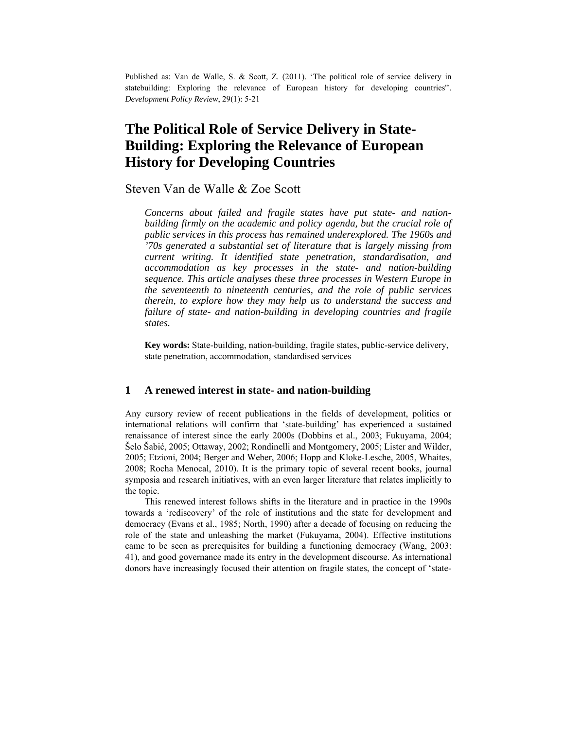Published as: Van de Walle, S. & Scott, Z. (2011). 'The political role of service delivery in statebuilding: Exploring the relevance of European history for developing countries''. *Development Policy Review*, 29(1): 5-21

# **The Political Role of Service Delivery in State-Building: Exploring the Relevance of European History for Developing Countries**

# Steven Van de Walle & Zoe Scott

*Concerns about failed and fragile states have put state- and nationbuilding firmly on the academic and policy agenda, but the crucial role of public services in this process has remained underexplored. The 1960s and '70s generated a substantial set of literature that is largely missing from current writing. It identified state penetration, standardisation, and accommodation as key processes in the state- and nation-building sequence. This article analyses these three processes in Western Europe in the seventeenth to nineteenth centuries, and the role of public services therein, to explore how they may help us to understand the success and failure of state- and nation-building in developing countries and fragile states.* 

**Key words:** State-building, nation-building, fragile states, public-service delivery, state penetration, accommodation, standardised services

#### **1 A renewed interest in state- and nation-building**

Any cursory review of recent publications in the fields of development, politics or international relations will confirm that 'state-building' has experienced a sustained renaissance of interest since the early 2000s (Dobbins et al., 2003; Fukuyama, 2004; Šelo Šabić, 2005; Ottaway, 2002; Rondinelli and Montgomery, 2005; Lister and Wilder, 2005; Etzioni, 2004; Berger and Weber, 2006; Hopp and Kloke-Lesche, 2005, Whaites, 2008; Rocha Menocal, 2010). It is the primary topic of several recent books, journal symposia and research initiatives, with an even larger literature that relates implicitly to the topic.

This renewed interest follows shifts in the literature and in practice in the 1990s towards a 'rediscovery' of the role of institutions and the state for development and democracy (Evans et al., 1985; North, 1990) after a decade of focusing on reducing the role of the state and unleashing the market (Fukuyama, 2004). Effective institutions came to be seen as prerequisites for building a functioning democracy (Wang, 2003: 41), and good governance made its entry in the development discourse. As international donors have increasingly focused their attention on fragile states, the concept of 'state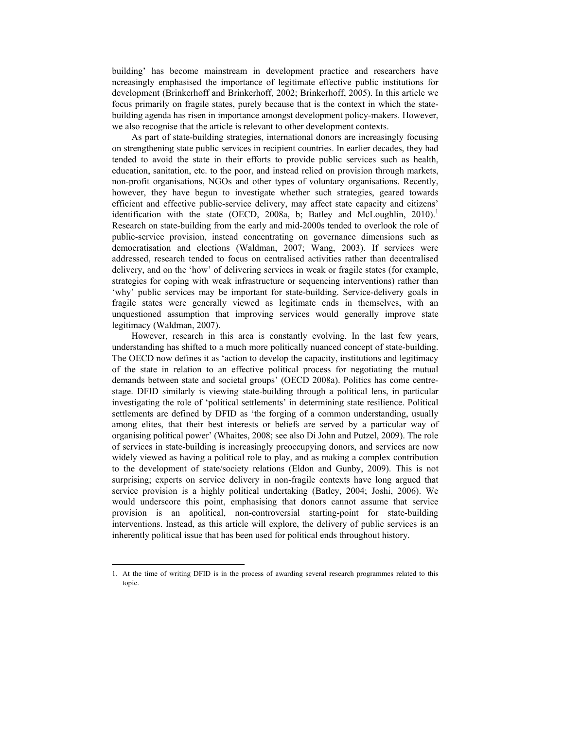building' has become mainstream in development practice and researchers have ncreasingly emphasised the importance of legitimate effective public institutions for development (Brinkerhoff and Brinkerhoff, 2002; Brinkerhoff, 2005). In this article we focus primarily on fragile states, purely because that is the context in which the statebuilding agenda has risen in importance amongst development policy-makers. However, we also recognise that the article is relevant to other development contexts.

As part of state-building strategies, international donors are increasingly focusing on strengthening state public services in recipient countries. In earlier decades, they had tended to avoid the state in their efforts to provide public services such as health, education, sanitation, etc. to the poor, and instead relied on provision through markets, non-profit organisations, NGOs and other types of voluntary organisations. Recently, however, they have begun to investigate whether such strategies, geared towards efficient and effective public-service delivery, may affect state capacity and citizens' identification with the state (OECD, 2008a, b; Batley and McLoughlin,  $2010$ )<sup>1</sup> Research on state-building from the early and mid-2000s tended to overlook the role of public-service provision, instead concentrating on governance dimensions such as democratisation and elections (Waldman, 2007; Wang, 2003). If services were addressed, research tended to focus on centralised activities rather than decentralised delivery, and on the 'how' of delivering services in weak or fragile states (for example, strategies for coping with weak infrastructure or sequencing interventions) rather than 'why' public services may be important for state-building. Service-delivery goals in fragile states were generally viewed as legitimate ends in themselves, with an unquestioned assumption that improving services would generally improve state legitimacy (Waldman, 2007).

However, research in this area is constantly evolving. In the last few years, understanding has shifted to a much more politically nuanced concept of state-building. The OECD now defines it as 'action to develop the capacity, institutions and legitimacy of the state in relation to an effective political process for negotiating the mutual demands between state and societal groups' (OECD 2008a). Politics has come centrestage. DFID similarly is viewing state-building through a political lens, in particular investigating the role of 'political settlements' in determining state resilience. Political settlements are defined by DFID as 'the forging of a common understanding, usually among elites, that their best interests or beliefs are served by a particular way of organising political power' (Whaites, 2008; see also Di John and Putzel, 2009). The role of services in state-building is increasingly preoccupying donors, and services are now widely viewed as having a political role to play, and as making a complex contribution to the development of state/society relations (Eldon and Gunby, 2009). This is not surprising; experts on service delivery in non-fragile contexts have long argued that service provision is a highly political undertaking (Batley, 2004; Joshi, 2006). We would underscore this point, emphasising that donors cannot assume that service provision is an apolitical, non-controversial starting-point for state-building interventions. Instead, as this article will explore, the delivery of public services is an inherently political issue that has been used for political ends throughout history.

l

<sup>1.</sup> At the time of writing DFID is in the process of awarding several research programmes related to this topic.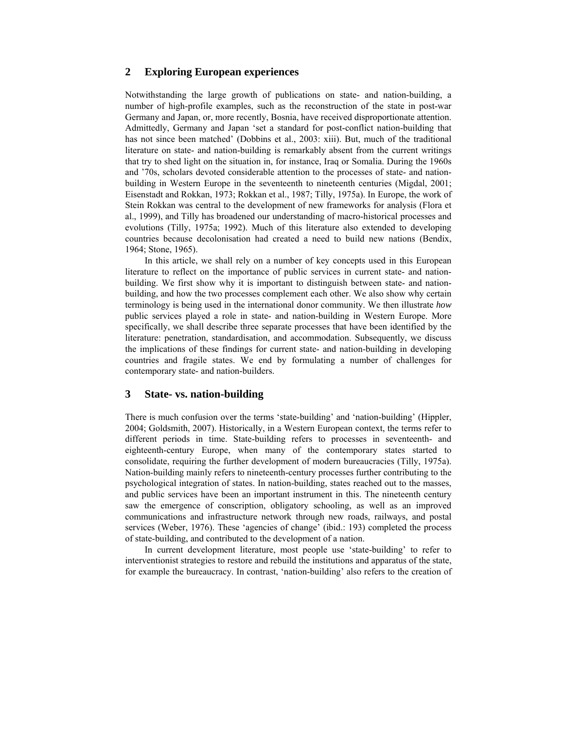## **2 Exploring European experiences**

Notwithstanding the large growth of publications on state- and nation-building, a number of high-profile examples, such as the reconstruction of the state in post-war Germany and Japan, or, more recently, Bosnia, have received disproportionate attention. Admittedly, Germany and Japan 'set a standard for post-conflict nation-building that has not since been matched' (Dobbins et al., 2003: xiii). But, much of the traditional literature on state- and nation-building is remarkably absent from the current writings that try to shed light on the situation in, for instance, Iraq or Somalia. During the 1960s and '70s, scholars devoted considerable attention to the processes of state- and nationbuilding in Western Europe in the seventeenth to nineteenth centuries (Migdal, 2001; Eisenstadt and Rokkan, 1973; Rokkan et al., 1987; Tilly, 1975a). In Europe, the work of Stein Rokkan was central to the development of new frameworks for analysis (Flora et al., 1999), and Tilly has broadened our understanding of macro-historical processes and evolutions (Tilly, 1975a; 1992). Much of this literature also extended to developing countries because decolonisation had created a need to build new nations (Bendix, 1964; Stone, 1965).

In this article, we shall rely on a number of key concepts used in this European literature to reflect on the importance of public services in current state- and nationbuilding. We first show why it is important to distinguish between state- and nationbuilding, and how the two processes complement each other. We also show why certain terminology is being used in the international donor community. We then illustrate *how* public services played a role in state- and nation-building in Western Europe. More specifically, we shall describe three separate processes that have been identified by the literature: penetration, standardisation, and accommodation. Subsequently, we discuss the implications of these findings for current state- and nation-building in developing countries and fragile states. We end by formulating a number of challenges for contemporary state- and nation-builders.

# **3 State- vs. nation-building**

There is much confusion over the terms 'state-building' and 'nation-building' (Hippler, 2004; Goldsmith, 2007). Historically, in a Western European context, the terms refer to different periods in time. State-building refers to processes in seventeenth- and eighteenth-century Europe, when many of the contemporary states started to consolidate, requiring the further development of modern bureaucracies (Tilly, 1975a). Nation-building mainly refers to nineteenth-century processes further contributing to the psychological integration of states. In nation-building, states reached out to the masses, and public services have been an important instrument in this. The nineteenth century saw the emergence of conscription, obligatory schooling, as well as an improved communications and infrastructure network through new roads, railways, and postal services (Weber, 1976). These 'agencies of change' (ibid.: 193) completed the process of state-building, and contributed to the development of a nation.

In current development literature, most people use 'state-building' to refer to interventionist strategies to restore and rebuild the institutions and apparatus of the state, for example the bureaucracy. In contrast, 'nation-building' also refers to the creation of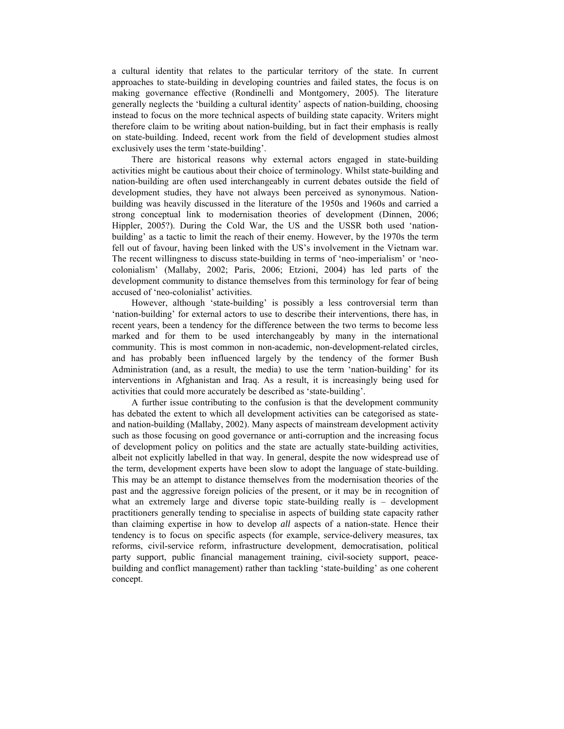a cultural identity that relates to the particular territory of the state. In current approaches to state-building in developing countries and failed states, the focus is on making governance effective (Rondinelli and Montgomery, 2005). The literature generally neglects the 'building a cultural identity' aspects of nation-building, choosing instead to focus on the more technical aspects of building state capacity. Writers might therefore claim to be writing about nation-building, but in fact their emphasis is really on state-building. Indeed, recent work from the field of development studies almost exclusively uses the term 'state-building'.

There are historical reasons why external actors engaged in state-building activities might be cautious about their choice of terminology. Whilst state-building and nation-building are often used interchangeably in current debates outside the field of development studies, they have not always been perceived as synonymous. Nationbuilding was heavily discussed in the literature of the 1950s and 1960s and carried a strong conceptual link to modernisation theories of development (Dinnen, 2006; Hippler, 2005?). During the Cold War, the US and the USSR both used 'nationbuilding' as a tactic to limit the reach of their enemy. However, by the 1970s the term fell out of favour, having been linked with the US's involvement in the Vietnam war. The recent willingness to discuss state-building in terms of 'neo-imperialism' or 'neocolonialism' (Mallaby, 2002; Paris, 2006; Etzioni, 2004) has led parts of the development community to distance themselves from this terminology for fear of being accused of 'neo-colonialist' activities.

However, although 'state-building' is possibly a less controversial term than 'nation-building' for external actors to use to describe their interventions, there has, in recent years, been a tendency for the difference between the two terms to become less marked and for them to be used interchangeably by many in the international community. This is most common in non-academic, non-development-related circles, and has probably been influenced largely by the tendency of the former Bush Administration (and, as a result, the media) to use the term 'nation-building' for its interventions in Afghanistan and Iraq. As a result, it is increasingly being used for activities that could more accurately be described as 'state-building'.

A further issue contributing to the confusion is that the development community has debated the extent to which all development activities can be categorised as stateand nation-building (Mallaby, 2002). Many aspects of mainstream development activity such as those focusing on good governance or anti-corruption and the increasing focus of development policy on politics and the state are actually state-building activities, albeit not explicitly labelled in that way. In general, despite the now widespread use of the term, development experts have been slow to adopt the language of state-building. This may be an attempt to distance themselves from the modernisation theories of the past and the aggressive foreign policies of the present, or it may be in recognition of what an extremely large and diverse topic state-building really is – development practitioners generally tending to specialise in aspects of building state capacity rather than claiming expertise in how to develop *all* aspects of a nation-state. Hence their tendency is to focus on specific aspects (for example, service-delivery measures, tax reforms, civil-service reform, infrastructure development, democratisation, political party support, public financial management training, civil-society support, peacebuilding and conflict management) rather than tackling 'state-building' as one coherent concept.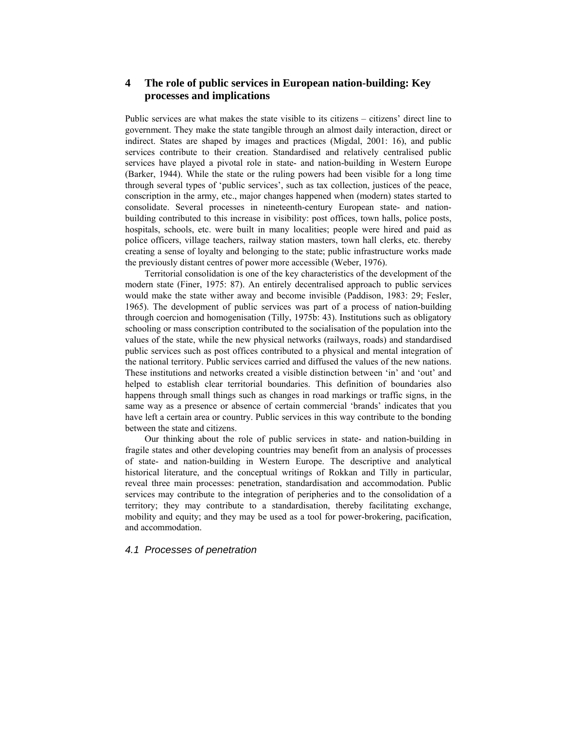# **4 The role of public services in European nation-building: Key processes and implications**

Public services are what makes the state visible to its citizens – citizens' direct line to government. They make the state tangible through an almost daily interaction, direct or indirect. States are shaped by images and practices (Migdal, 2001: 16), and public services contribute to their creation. Standardised and relatively centralised public services have played a pivotal role in state- and nation-building in Western Europe (Barker, 1944). While the state or the ruling powers had been visible for a long time through several types of 'public services', such as tax collection, justices of the peace, conscription in the army, etc., major changes happened when (modern) states started to consolidate. Several processes in nineteenth-century European state- and nationbuilding contributed to this increase in visibility: post offices, town halls, police posts, hospitals, schools, etc. were built in many localities; people were hired and paid as police officers, village teachers, railway station masters, town hall clerks, etc. thereby creating a sense of loyalty and belonging to the state; public infrastructure works made the previously distant centres of power more accessible (Weber, 1976).

Territorial consolidation is one of the key characteristics of the development of the modern state (Finer, 1975: 87). An entirely decentralised approach to public services would make the state wither away and become invisible (Paddison, 1983: 29; Fesler, 1965). The development of public services was part of a process of nation-building through coercion and homogenisation (Tilly, 1975b: 43). Institutions such as obligatory schooling or mass conscription contributed to the socialisation of the population into the values of the state, while the new physical networks (railways, roads) and standardised public services such as post offices contributed to a physical and mental integration of the national territory. Public services carried and diffused the values of the new nations. These institutions and networks created a visible distinction between 'in' and 'out' and helped to establish clear territorial boundaries. This definition of boundaries also happens through small things such as changes in road markings or traffic signs, in the same way as a presence or absence of certain commercial 'brands' indicates that you have left a certain area or country. Public services in this way contribute to the bonding between the state and citizens.

Our thinking about the role of public services in state- and nation-building in fragile states and other developing countries may benefit from an analysis of processes of state- and nation-building in Western Europe. The descriptive and analytical historical literature, and the conceptual writings of Rokkan and Tilly in particular, reveal three main processes: penetration, standardisation and accommodation. Public services may contribute to the integration of peripheries and to the consolidation of a territory; they may contribute to a standardisation, thereby facilitating exchange, mobility and equity; and they may be used as a tool for power-brokering, pacification, and accommodation.

#### *4.1 Processes of penetration*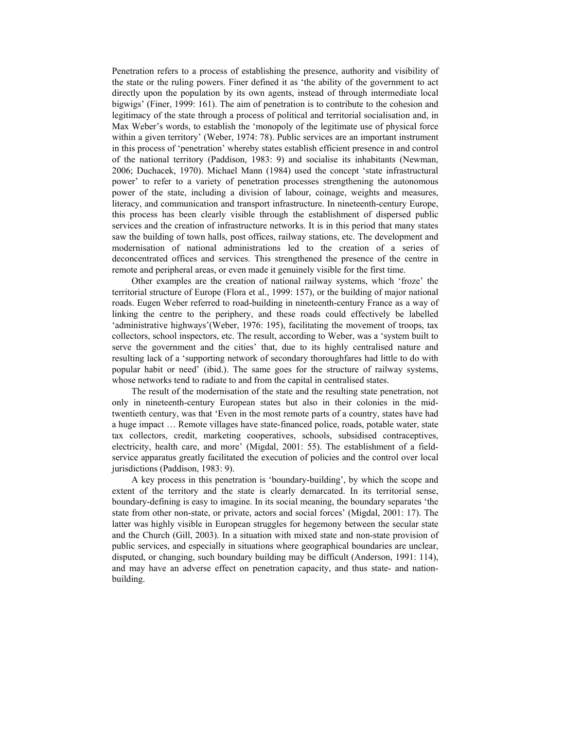Penetration refers to a process of establishing the presence, authority and visibility of the state or the ruling powers. Finer defined it as 'the ability of the government to act directly upon the population by its own agents, instead of through intermediate local bigwigs' (Finer, 1999: 161). The aim of penetration is to contribute to the cohesion and legitimacy of the state through a process of political and territorial socialisation and, in Max Weber's words, to establish the 'monopoly of the legitimate use of physical force within a given territory' (Weber, 1974: 78). Public services are an important instrument in this process of 'penetration' whereby states establish efficient presence in and control of the national territory (Paddison, 1983: 9) and socialise its inhabitants (Newman, 2006; Duchacek, 1970). Michael Mann (1984) used the concept 'state infrastructural power' to refer to a variety of penetration processes strengthening the autonomous power of the state, including a division of labour, coinage, weights and measures, literacy, and communication and transport infrastructure. In nineteenth-century Europe, this process has been clearly visible through the establishment of dispersed public services and the creation of infrastructure networks. It is in this period that many states saw the building of town halls, post offices, railway stations, etc. The development and modernisation of national administrations led to the creation of a series of deconcentrated offices and services. This strengthened the presence of the centre in remote and peripheral areas, or even made it genuinely visible for the first time.

Other examples are the creation of national railway systems, which 'froze' the territorial structure of Europe (Flora et al., 1999: 157), or the building of major national roads. Eugen Weber referred to road-building in nineteenth-century France as a way of linking the centre to the periphery, and these roads could effectively be labelled 'administrative highways'(Weber, 1976: 195), facilitating the movement of troops, tax collectors, school inspectors, etc. The result, according to Weber, was a 'system built to serve the government and the cities' that, due to its highly centralised nature and resulting lack of a 'supporting network of secondary thoroughfares had little to do with popular habit or need' (ibid.). The same goes for the structure of railway systems, whose networks tend to radiate to and from the capital in centralised states.

The result of the modernisation of the state and the resulting state penetration, not only in nineteenth-century European states but also in their colonies in the midtwentieth century, was that 'Even in the most remote parts of a country, states have had a huge impact … Remote villages have state-financed police, roads, potable water, state tax collectors, credit, marketing cooperatives, schools, subsidised contraceptives, electricity, health care, and more' (Migdal, 2001: 55). The establishment of a fieldservice apparatus greatly facilitated the execution of policies and the control over local jurisdictions (Paddison, 1983: 9).

A key process in this penetration is 'boundary-building', by which the scope and extent of the territory and the state is clearly demarcated. In its territorial sense, boundary-defining is easy to imagine. In its social meaning, the boundary separates 'the state from other non-state, or private, actors and social forces' (Migdal, 2001: 17). The latter was highly visible in European struggles for hegemony between the secular state and the Church (Gill, 2003). In a situation with mixed state and non-state provision of public services, and especially in situations where geographical boundaries are unclear, disputed, or changing, such boundary building may be difficult (Anderson, 1991: 114), and may have an adverse effect on penetration capacity, and thus state- and nationbuilding.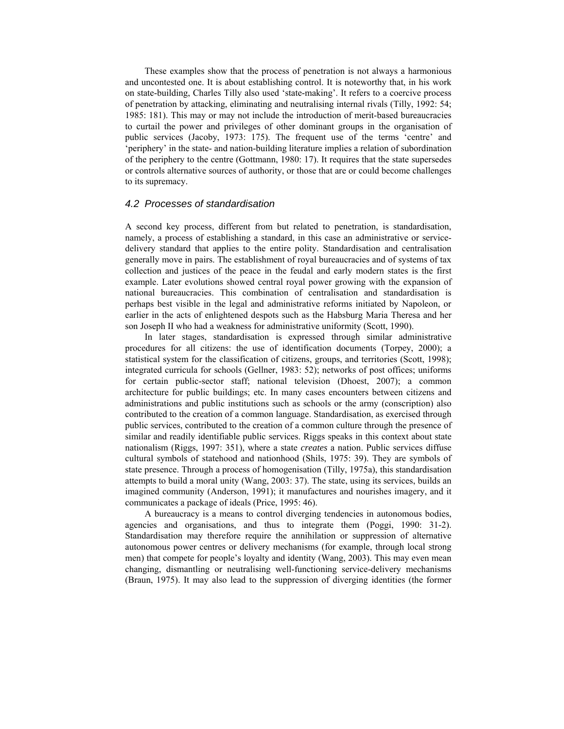These examples show that the process of penetration is not always a harmonious and uncontested one. It is about establishing control. It is noteworthy that, in his work on state-building, Charles Tilly also used 'state-making'. It refers to a coercive process of penetration by attacking, eliminating and neutralising internal rivals (Tilly, 1992: 54; 1985: 181). This may or may not include the introduction of merit-based bureaucracies to curtail the power and privileges of other dominant groups in the organisation of public services (Jacoby, 1973: 175). The frequent use of the terms 'centre' and 'periphery' in the state- and nation-building literature implies a relation of subordination of the periphery to the centre (Gottmann, 1980: 17). It requires that the state supersedes or controls alternative sources of authority, or those that are or could become challenges to its supremacy.

#### *4.2 Processes of standardisation*

A second key process, different from but related to penetration, is standardisation, namely, a process of establishing a standard, in this case an administrative or servicedelivery standard that applies to the entire polity. Standardisation and centralisation generally move in pairs. The establishment of royal bureaucracies and of systems of tax collection and justices of the peace in the feudal and early modern states is the first example. Later evolutions showed central royal power growing with the expansion of national bureaucracies. This combination of centralisation and standardisation is perhaps best visible in the legal and administrative reforms initiated by Napoleon, or earlier in the acts of enlightened despots such as the Habsburg Maria Theresa and her son Joseph II who had a weakness for administrative uniformity (Scott, 1990).

In later stages, standardisation is expressed through similar administrative procedures for all citizens: the use of identification documents (Torpey, 2000); a statistical system for the classification of citizens, groups, and territories (Scott, 1998); integrated curricula for schools (Gellner, 1983: 52); networks of post offices; uniforms for certain public-sector staff; national television (Dhoest, 2007); a common architecture for public buildings; etc. In many cases encounters between citizens and administrations and public institutions such as schools or the army (conscription) also contributed to the creation of a common language. Standardisation, as exercised through public services, contributed to the creation of a common culture through the presence of similar and readily identifiable public services. Riggs speaks in this context about state nationalism (Riggs, 1997: 351), where a state *creates* a nation. Public services diffuse cultural symbols of statehood and nationhood (Shils, 1975: 39). They are symbols of state presence. Through a process of homogenisation (Tilly, 1975a), this standardisation attempts to build a moral unity (Wang, 2003: 37). The state, using its services, builds an imagined community (Anderson, 1991); it manufactures and nourishes imagery, and it communicates a package of ideals (Price, 1995: 46).

A bureaucracy is a means to control diverging tendencies in autonomous bodies, agencies and organisations, and thus to integrate them (Poggi, 1990: 31-2). Standardisation may therefore require the annihilation or suppression of alternative autonomous power centres or delivery mechanisms (for example, through local strong men) that compete for people's loyalty and identity (Wang, 2003). This may even mean changing, dismantling or neutralising well-functioning service-delivery mechanisms (Braun, 1975). It may also lead to the suppression of diverging identities (the former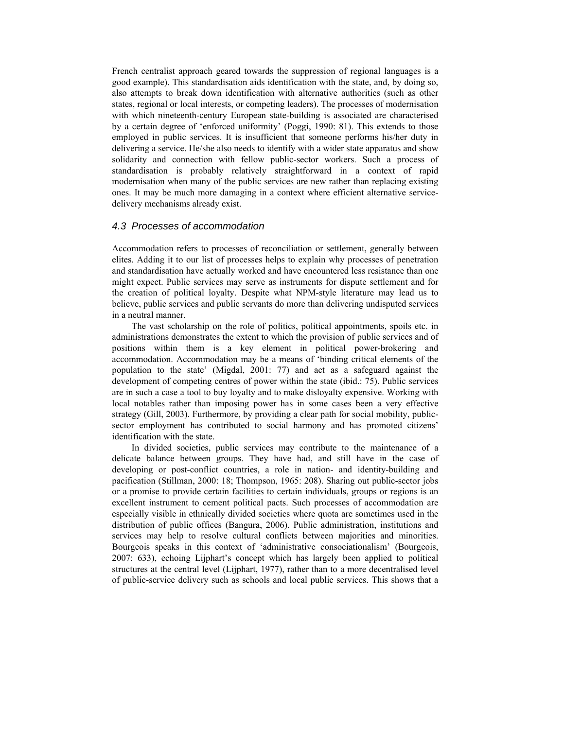French centralist approach geared towards the suppression of regional languages is a good example). This standardisation aids identification with the state, and, by doing so, also attempts to break down identification with alternative authorities (such as other states, regional or local interests, or competing leaders). The processes of modernisation with which nineteenth-century European state-building is associated are characterised by a certain degree of 'enforced uniformity' (Poggi, 1990: 81). This extends to those employed in public services. It is insufficient that someone performs his/her duty in delivering a service. He/she also needs to identify with a wider state apparatus and show solidarity and connection with fellow public-sector workers. Such a process of standardisation is probably relatively straightforward in a context of rapid modernisation when many of the public services are new rather than replacing existing ones. It may be much more damaging in a context where efficient alternative servicedelivery mechanisms already exist.

#### *4.3 Processes of accommodation*

Accommodation refers to processes of reconciliation or settlement, generally between elites. Adding it to our list of processes helps to explain why processes of penetration and standardisation have actually worked and have encountered less resistance than one might expect. Public services may serve as instruments for dispute settlement and for the creation of political loyalty. Despite what NPM-style literature may lead us to believe, public services and public servants do more than delivering undisputed services in a neutral manner.

The vast scholarship on the role of politics, political appointments, spoils etc. in administrations demonstrates the extent to which the provision of public services and of positions within them is a key element in political power-brokering and accommodation. Accommodation may be a means of 'binding critical elements of the population to the state' (Migdal, 2001: 77) and act as a safeguard against the development of competing centres of power within the state (ibid.: 75). Public services are in such a case a tool to buy loyalty and to make disloyalty expensive. Working with local notables rather than imposing power has in some cases been a very effective strategy (Gill, 2003). Furthermore, by providing a clear path for social mobility, publicsector employment has contributed to social harmony and has promoted citizens' identification with the state.

In divided societies, public services may contribute to the maintenance of a delicate balance between groups. They have had, and still have in the case of developing or post-conflict countries, a role in nation- and identity-building and pacification (Stillman, 2000: 18; Thompson, 1965: 208). Sharing out public-sector jobs or a promise to provide certain facilities to certain individuals, groups or regions is an excellent instrument to cement political pacts. Such processes of accommodation are especially visible in ethnically divided societies where quota are sometimes used in the distribution of public offices (Bangura, 2006). Public administration, institutions and services may help to resolve cultural conflicts between majorities and minorities. Bourgeois speaks in this context of 'administrative consociationalism' (Bourgeois, 2007: 633), echoing Lijphart's concept which has largely been applied to political structures at the central level (Lijphart, 1977), rather than to a more decentralised level of public-service delivery such as schools and local public services. This shows that a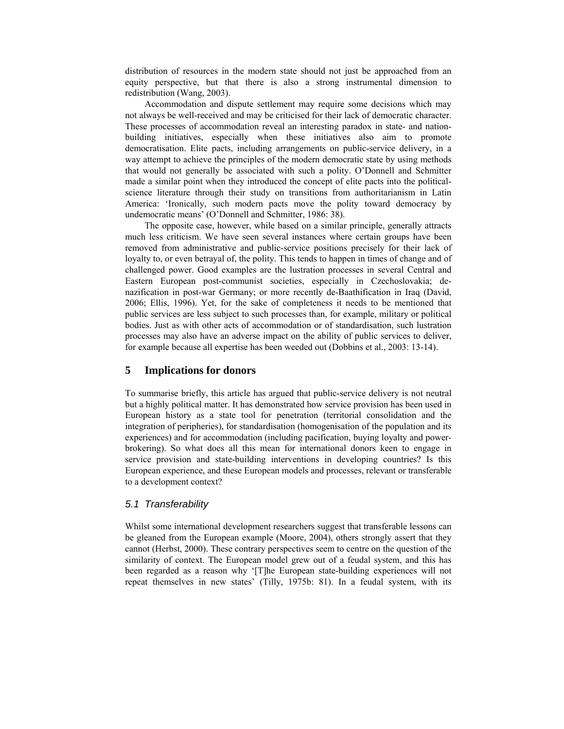distribution of resources in the modern state should not just be approached from an equity perspective, but that there is also a strong instrumental dimension to redistribution (Wang, 2003).

Accommodation and dispute settlement may require some decisions which may not always be well-received and may be criticised for their lack of democratic character. These processes of accommodation reveal an interesting paradox in state- and nationbuilding initiatives, especially when these initiatives also aim to promote democratisation. Elite pacts, including arrangements on public-service delivery, in a way attempt to achieve the principles of the modern democratic state by using methods that would not generally be associated with such a polity. O'Donnell and Schmitter made a similar point when they introduced the concept of elite pacts into the politicalscience literature through their study on transitions from authoritarianism in Latin America: 'Ironically, such modern pacts move the polity toward democracy by undemocratic means' (O'Donnell and Schmitter, 1986: 38).

The opposite case, however, while based on a similar principle, generally attracts much less criticism. We have seen several instances where certain groups have been removed from administrative and public-service positions precisely for their lack of loyalty to, or even betrayal of, the polity. This tends to happen in times of change and of challenged power. Good examples are the lustration processes in several Central and Eastern European post-communist societies, especially in Czechoslovakia; denazification in post-war Germany; or more recently de-Baathification in Iraq (David, 2006; Ellis, 1996). Yet, for the sake of completeness it needs to be mentioned that public services are less subject to such processes than, for example, military or political bodies. Just as with other acts of accommodation or of standardisation, such lustration processes may also have an adverse impact on the ability of public services to deliver, for example because all expertise has been weeded out (Dobbins et al., 2003: 13-14).

# **5 Implications for donors**

To summarise briefly, this article has argued that public-service delivery is not neutral but a highly political matter. It has demonstrated how service provision has been used in European history as a state tool for penetration (territorial consolidation and the integration of peripheries), for standardisation (homogenisation of the population and its experiences) and for accommodation (including pacification, buying loyalty and powerbrokering). So what does all this mean for international donors keen to engage in service provision and state-building interventions in developing countries? Is this European experience, and these European models and processes, relevant or transferable to a development context?

# *5.1 Transferability*

Whilst some international development researchers suggest that transferable lessons can be gleaned from the European example (Moore, 2004), others strongly assert that they cannot (Herbst, 2000). These contrary perspectives seem to centre on the question of the similarity of context. The European model grew out of a feudal system, and this has been regarded as a reason why '[T]he European state-building experiences will not repeat themselves in new states' (Tilly, 1975b: 81). In a feudal system, with its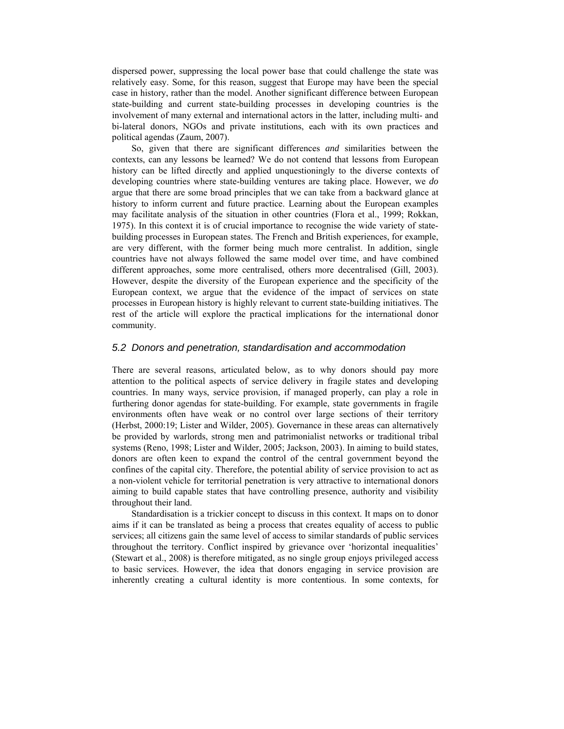dispersed power, suppressing the local power base that could challenge the state was relatively easy. Some, for this reason, suggest that Europe may have been the special case in history, rather than the model. Another significant difference between European state-building and current state-building processes in developing countries is the involvement of many external and international actors in the latter, including multi- and bi-lateral donors, NGOs and private institutions, each with its own practices and political agendas (Zaum, 2007).

So, given that there are significant differences *and* similarities between the contexts, can any lessons be learned? We do not contend that lessons from European history can be lifted directly and applied unquestioningly to the diverse contexts of developing countries where state-building ventures are taking place. However, we *do* argue that there are some broad principles that we can take from a backward glance at history to inform current and future practice. Learning about the European examples may facilitate analysis of the situation in other countries (Flora et al., 1999; Rokkan, 1975). In this context it is of crucial importance to recognise the wide variety of statebuilding processes in European states. The French and British experiences, for example, are very different, with the former being much more centralist. In addition, single countries have not always followed the same model over time, and have combined different approaches, some more centralised, others more decentralised (Gill, 2003). However, despite the diversity of the European experience and the specificity of the European context, we argue that the evidence of the impact of services on state processes in European history is highly relevant to current state-building initiatives. The rest of the article will explore the practical implications for the international donor community.

#### *5.2 Donors and penetration, standardisation and accommodation*

There are several reasons, articulated below, as to why donors should pay more attention to the political aspects of service delivery in fragile states and developing countries. In many ways, service provision, if managed properly, can play a role in furthering donor agendas for state-building. For example, state governments in fragile environments often have weak or no control over large sections of their territory (Herbst, 2000:19; Lister and Wilder, 2005). Governance in these areas can alternatively be provided by warlords, strong men and patrimonialist networks or traditional tribal systems (Reno, 1998; Lister and Wilder, 2005; Jackson, 2003). In aiming to build states, donors are often keen to expand the control of the central government beyond the confines of the capital city. Therefore, the potential ability of service provision to act as a non-violent vehicle for territorial penetration is very attractive to international donors aiming to build capable states that have controlling presence, authority and visibility throughout their land.

Standardisation is a trickier concept to discuss in this context. It maps on to donor aims if it can be translated as being a process that creates equality of access to public services; all citizens gain the same level of access to similar standards of public services throughout the territory. Conflict inspired by grievance over 'horizontal inequalities' (Stewart et al., 2008) is therefore mitigated, as no single group enjoys privileged access to basic services. However, the idea that donors engaging in service provision are inherently creating a cultural identity is more contentious. In some contexts, for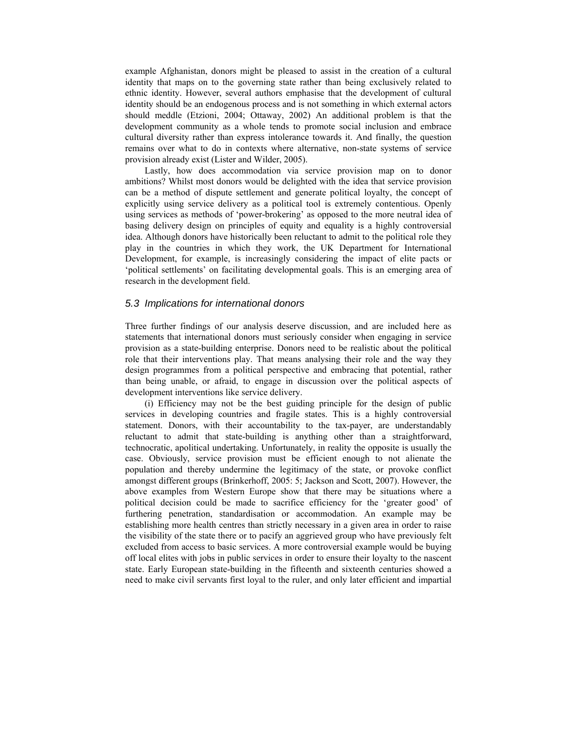example Afghanistan, donors might be pleased to assist in the creation of a cultural identity that maps on to the governing state rather than being exclusively related to ethnic identity. However, several authors emphasise that the development of cultural identity should be an endogenous process and is not something in which external actors should meddle (Etzioni, 2004; Ottaway, 2002) An additional problem is that the development community as a whole tends to promote social inclusion and embrace cultural diversity rather than express intolerance towards it. And finally, the question remains over what to do in contexts where alternative, non-state systems of service provision already exist (Lister and Wilder, 2005).

Lastly, how does accommodation via service provision map on to donor ambitions? Whilst most donors would be delighted with the idea that service provision can be a method of dispute settlement and generate political loyalty, the concept of explicitly using service delivery as a political tool is extremely contentious. Openly using services as methods of 'power-brokering' as opposed to the more neutral idea of basing delivery design on principles of equity and equality is a highly controversial idea. Although donors have historically been reluctant to admit to the political role they play in the countries in which they work, the UK Department for International Development, for example, is increasingly considering the impact of elite pacts or 'political settlements' on facilitating developmental goals. This is an emerging area of research in the development field.

#### *5.3 Implications for international donors*

Three further findings of our analysis deserve discussion, and are included here as statements that international donors must seriously consider when engaging in service provision as a state-building enterprise. Donors need to be realistic about the political role that their interventions play. That means analysing their role and the way they design programmes from a political perspective and embracing that potential, rather than being unable, or afraid, to engage in discussion over the political aspects of development interventions like service delivery.

(i) Efficiency may not be the best guiding principle for the design of public services in developing countries and fragile states. This is a highly controversial statement. Donors, with their accountability to the tax-payer, are understandably reluctant to admit that state-building is anything other than a straightforward, technocratic, apolitical undertaking. Unfortunately, in reality the opposite is usually the case. Obviously, service provision must be efficient enough to not alienate the population and thereby undermine the legitimacy of the state, or provoke conflict amongst different groups (Brinkerhoff, 2005: 5; Jackson and Scott, 2007). However, the above examples from Western Europe show that there may be situations where a political decision could be made to sacrifice efficiency for the 'greater good' of furthering penetration, standardisation or accommodation. An example may be establishing more health centres than strictly necessary in a given area in order to raise the visibility of the state there or to pacify an aggrieved group who have previously felt excluded from access to basic services. A more controversial example would be buying off local elites with jobs in public services in order to ensure their loyalty to the nascent state. Early European state-building in the fifteenth and sixteenth centuries showed a need to make civil servants first loyal to the ruler, and only later efficient and impartial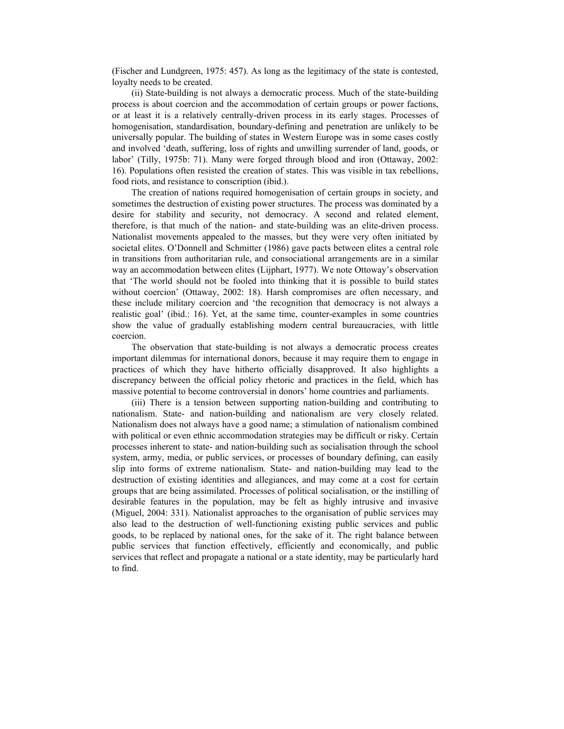(Fischer and Lundgreen, 1975: 457). As long as the legitimacy of the state is contested, loyalty needs to be created.

(ii) State-building is not always a democratic process. Much of the state-building process is about coercion and the accommodation of certain groups or power factions, or at least it is a relatively centrally-driven process in its early stages. Processes of homogenisation, standardisation, boundary-defining and penetration are unlikely to be universally popular. The building of states in Western Europe was in some cases costly and involved 'death, suffering, loss of rights and unwilling surrender of land, goods, or labor' (Tilly, 1975b: 71). Many were forged through blood and iron (Ottaway, 2002: 16). Populations often resisted the creation of states. This was visible in tax rebellions, food riots, and resistance to conscription (ibid.).

The creation of nations required homogenisation of certain groups in society, and sometimes the destruction of existing power structures. The process was dominated by a desire for stability and security, not democracy. A second and related element, therefore, is that much of the nation- and state-building was an elite-driven process. Nationalist movements appealed to the masses, but they were very often initiated by societal elites. O'Donnell and Schmitter (1986) gave pacts between elites a central role in transitions from authoritarian rule, and consociational arrangements are in a similar way an accommodation between elites (Lijphart, 1977). We note Ottoway's observation that 'The world should not be fooled into thinking that it is possible to build states without coercion' (Ottaway, 2002: 18). Harsh compromises are often necessary, and these include military coercion and 'the recognition that democracy is not always a realistic goal' (ibid.: 16). Yet, at the same time, counter-examples in some countries show the value of gradually establishing modern central bureaucracies, with little coercion.

The observation that state-building is not always a democratic process creates important dilemmas for international donors, because it may require them to engage in practices of which they have hitherto officially disapproved. It also highlights a discrepancy between the official policy rhetoric and practices in the field, which has massive potential to become controversial in donors' home countries and parliaments.

(iii) There is a tension between supporting nation-building and contributing to nationalism. State- and nation-building and nationalism are very closely related. Nationalism does not always have a good name; a stimulation of nationalism combined with political or even ethnic accommodation strategies may be difficult or risky. Certain processes inherent to state- and nation-building such as socialisation through the school system, army, media, or public services, or processes of boundary defining, can easily slip into forms of extreme nationalism. State- and nation-building may lead to the destruction of existing identities and allegiances, and may come at a cost for certain groups that are being assimilated. Processes of political socialisation, or the instilling of desirable features in the population, may be felt as highly intrusive and invasive (Miguel, 2004: 331). Nationalist approaches to the organisation of public services may also lead to the destruction of well-functioning existing public services and public goods, to be replaced by national ones, for the sake of it. The right balance between public services that function effectively, efficiently and economically, and public services that reflect and propagate a national or a state identity, may be particularly hard to find.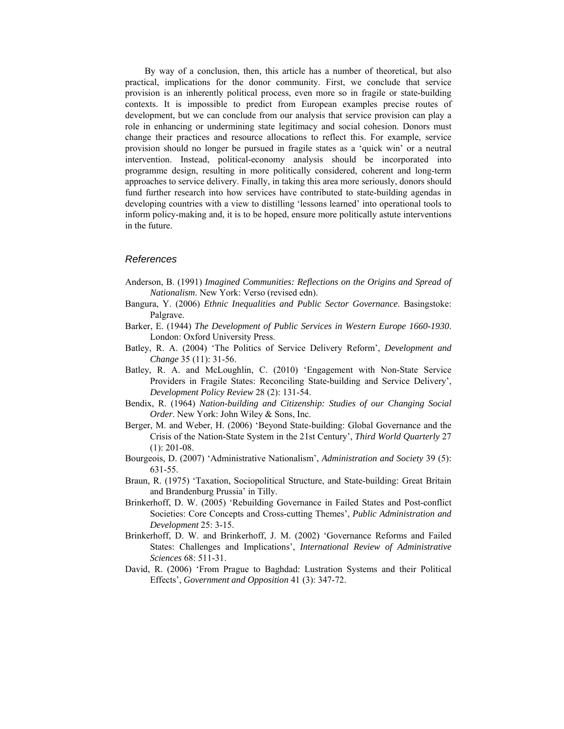By way of a conclusion, then, this article has a number of theoretical, but also practical, implications for the donor community. First, we conclude that service provision is an inherently political process, even more so in fragile or state-building contexts. It is impossible to predict from European examples precise routes of development, but we can conclude from our analysis that service provision can play a role in enhancing or undermining state legitimacy and social cohesion. Donors must change their practices and resource allocations to reflect this. For example, service provision should no longer be pursued in fragile states as a 'quick win' or a neutral intervention. Instead, political-economy analysis should be incorporated into programme design, resulting in more politically considered, coherent and long-term approaches to service delivery. Finally, in taking this area more seriously, donors should fund further research into how services have contributed to state-building agendas in developing countries with a view to distilling 'lessons learned' into operational tools to inform policy-making and, it is to be hoped, ensure more politically astute interventions in the future.

### *References*

- Anderson, B. (1991) *Imagined Communities: Reflections on the Origins and Spread of Nationalism*. New York: Verso (revised edn).
- Bangura, Y. (2006) *Ethnic Inequalities and Public Sector Governance*. Basingstoke: Palgrave.
- Barker, E. (1944) *The Development of Public Services in Western Europe 1660-1930*. London: Oxford University Press.
- Batley, R. A. (2004) 'The Politics of Service Delivery Reform', *Development and Change* 35 (11): 31-56.
- Batley, R. A. and McLoughlin, C. (2010) 'Engagement with Non-State Service Providers in Fragile States: Reconciling State-building and Service Delivery', *Development Policy Review* 28 (2): 131-54.
- Bendix, R. (1964) *Nation-building and Citizenship: Studies of our Changing Social Order*. New York: John Wiley & Sons, Inc.
- Berger, M. and Weber, H. (2006) 'Beyond State-building: Global Governance and the Crisis of the Nation-State System in the 21st Century', *Third World Quarterly* 27 (1): 201-08.
- Bourgeois, D. (2007) 'Administrative Nationalism', *Administration and Society* 39 (5): 631-55.
- Braun, R. (1975) 'Taxation, Sociopolitical Structure, and State-building: Great Britain and Brandenburg Prussia' in Tilly.
- Brinkerhoff, D. W. (2005) 'Rebuilding Governance in Failed States and Post-conflict Societies: Core Concepts and Cross-cutting Themes', *Public Administration and Development* 25: 3-15.
- Brinkerhoff, D. W. and Brinkerhoff, J. M. (2002) 'Governance Reforms and Failed States: Challenges and Implications', *International Review of Administrative Sciences* 68: 511-31.
- David, R. (2006) 'From Prague to Baghdad: Lustration Systems and their Political Effects', *Government and Opposition* 41 (3): 347-72.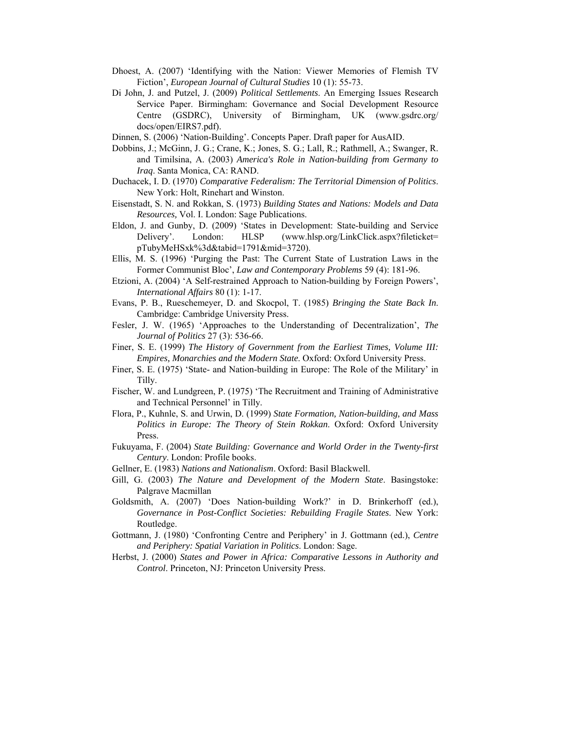- Dhoest, A. (2007) 'Identifying with the Nation: Viewer Memories of Flemish TV Fiction', *European Journal of Cultural Studies* 10 (1): 55-73.
- Di John, J. and Putzel, J. (2009) *Political Settlements*. An Emerging Issues Research Service Paper. Birmingham: Governance and Social Development Resource Centre (GSDRC), University of Birmingham, UK (www.gsdrc.org/ docs/open/EIRS7.pdf).
- Dinnen, S. (2006) 'Nation-Building'. Concepts Paper. Draft paper for AusAID.
- Dobbins, J.; McGinn, J. G.; Crane, K.; Jones, S. G.; Lall, R.; Rathmell, A.; Swanger, R. and Timilsina, A. (2003) *America's Role in Nation-building from Germany to Iraq*. Santa Monica, CA: RAND.
- Duchacek, I. D. (1970) *Comparative Federalism: The Territorial Dimension of Politics*. New York: Holt, Rinehart and Winston.
- Eisenstadt, S. N. and Rokkan, S. (1973) *Building States and Nations: Models and Data Resources,* Vol. I. London: Sage Publications.
- Eldon, J. and Gunby, D. (2009) 'States in Development: State-building and Service Delivery'. London: HLSP (www.hlsp.org/LinkClick.aspx?fileticket= pTubyMeHSxk%3d&tabid=1791&mid=3720).
- Ellis, M. S. (1996) 'Purging the Past: The Current State of Lustration Laws in the Former Communist Bloc', *Law and Contemporary Problems* 59 (4): 181-96.
- Etzioni, A. (2004) 'A Self-restrained Approach to Nation-building by Foreign Powers', *International Affairs* 80 (1): 1-17.
- Evans, P. B., Rueschemeyer, D. and Skocpol, T. (1985) *Bringing the State Back In*. Cambridge: Cambridge University Press.
- Fesler, J. W. (1965) 'Approaches to the Understanding of Decentralization', *The Journal of Politics* 27 (3): 536-66.
- Finer, S. E. (1999) *The History of Government from the Earliest Times, Volume III: Empires, Monarchies and the Modern State*. Oxford: Oxford University Press.
- Finer, S. E. (1975) 'State- and Nation-building in Europe: The Role of the Military' in Tilly.
- Fischer, W. and Lundgreen, P. (1975) 'The Recruitment and Training of Administrative and Technical Personnel' in Tilly.
- Flora, P., Kuhnle, S. and Urwin, D. (1999) *State Formation, Nation-building, and Mass Politics in Europe: The Theory of Stein Rokkan*. Oxford: Oxford University Press.
- Fukuyama, F. (2004) *State Building: Governance and World Order in the Twenty-first Century*. London: Profile books.
- Gellner, E. (1983) *Nations and Nationalism*. Oxford: Basil Blackwell.
- Gill, G. (2003) *The Nature and Development of the Modern State*. Basingstoke: Palgrave Macmillan
- Goldsmith, A. (2007) 'Does Nation-building Work?' in D. Brinkerhoff (ed.), *Governance in Post-Conflict Societies: Rebuilding Fragile States*. New York: Routledge.
- Gottmann, J. (1980) 'Confronting Centre and Periphery' in J. Gottmann (ed.), *Centre and Periphery: Spatial Variation in Politics*. London: Sage.
- Herbst, J. (2000) *States and Power in Africa: Comparative Lessons in Authority and Control*. Princeton, NJ: Princeton University Press.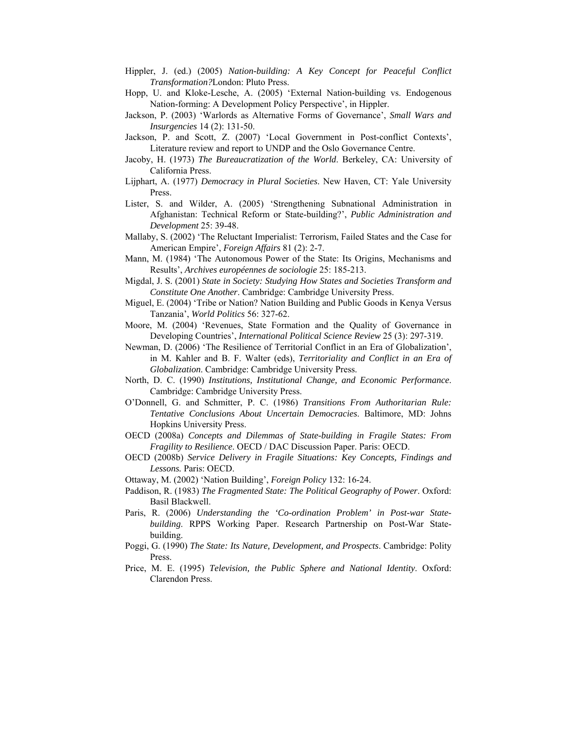- Hippler, J. (ed.) (2005) *Nation-building: A Key Concept for Peaceful Conflict Transformation?*London: Pluto Press.
- Hopp, U. and Kloke-Lesche, A. (2005) 'External Nation-building vs. Endogenous Nation-forming: A Development Policy Perspective', in Hippler.
- Jackson, P. (2003) 'Warlords as Alternative Forms of Governance', *Small Wars and Insurgencies* 14 (2): 131-50.
- Jackson, P. and Scott, Z. (2007) 'Local Government in Post-conflict Contexts', Literature review and report to UNDP and the Oslo Governance Centre.
- Jacoby, H. (1973) *The Bureaucratization of the World*. Berkeley, CA: University of California Press.
- Lijphart, A. (1977) *Democracy in Plural Societies*. New Haven, CT: Yale University Press.
- Lister, S. and Wilder, A. (2005) 'Strengthening Subnational Administration in Afghanistan: Technical Reform or State-building?', *Public Administration and Development* 25: 39-48.
- Mallaby, S. (2002) 'The Reluctant Imperialist: Terrorism, Failed States and the Case for American Empire', *Foreign Affairs* 81 (2): 2-7.
- Mann, M. (1984) 'The Autonomous Power of the State: Its Origins, Mechanisms and Results', *Archives européennes de sociologie* 25: 185-213.
- Migdal, J. S. (2001) *State in Society: Studying How States and Societies Transform and Constitute One Another*. Cambridge: Cambridge University Press.
- Miguel, E. (2004) 'Tribe or Nation? Nation Building and Public Goods in Kenya Versus Tanzania', *World Politics* 56: 327-62.
- Moore, M. (2004) 'Revenues, State Formation and the Quality of Governance in Developing Countries', *International Political Science Review* 25 (3): 297-319.
- Newman, D. (2006) 'The Resilience of Territorial Conflict in an Era of Globalization', in M. Kahler and B. F. Walter (eds), *Territoriality and Conflict in an Era of Globalization*. Cambridge: Cambridge University Press.
- North, D. C. (1990) *Institutions, Institutional Change, and Economic Performance*. Cambridge: Cambridge University Press.
- O'Donnell, G. and Schmitter, P. C. (1986) *Transitions From Authoritarian Rule: Tentative Conclusions About Uncertain Democracies*. Baltimore, MD: Johns Hopkins University Press.
- OECD (2008a) *Concepts and Dilemmas of State-building in Fragile States: From Fragility to Resilience*. OECD / DAC Discussion Paper. Paris: OECD.
- OECD (2008b) *Service Delivery in Fragile Situations: Key Concepts, Findings and Lessons.* Paris: OECD.
- Ottaway, M. (2002) 'Nation Building', *Foreign Policy* 132: 16-24.
- Paddison, R. (1983) *The Fragmented State: The Political Geography of Power*. Oxford: Basil Blackwell.
- Paris, R. (2006) *Understanding the 'Co-ordination Problem' in Post-war Statebuilding*. RPPS Working Paper. Research Partnership on Post-War Statebuilding.
- Poggi, G. (1990) *The State: Its Nature, Development, and Prospects*. Cambridge: Polity Press.
- Price, M. E. (1995) *Television, the Public Sphere and National Identity*. Oxford: Clarendon Press.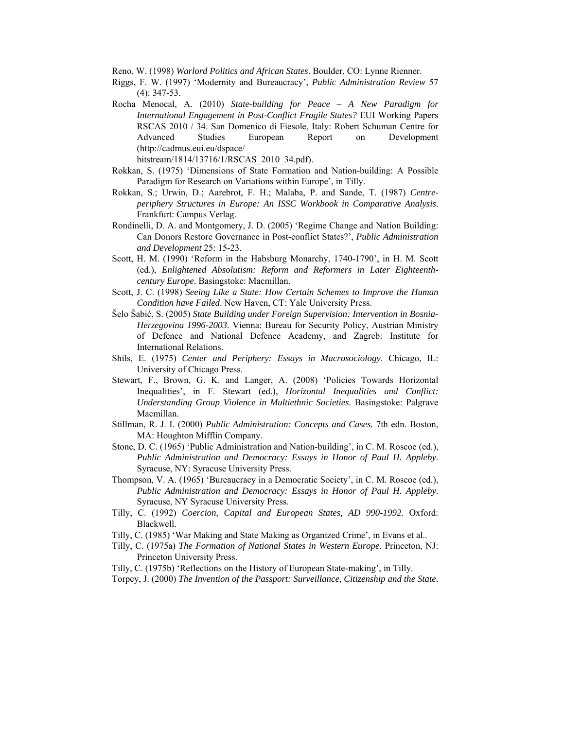Reno, W. (1998) *Warlord Politics and African States*. Boulder, CO: Lynne Rienner.

- Riggs, F. W. (1997) 'Modernity and Bureaucracy', *Public Administration Review* 57 (4): 347-53.
- Rocha Menocal, A. (2010) *State-building for Peace A New Paradigm for International Engagement in Post-Conflict Fragile States?* EUI Working Papers RSCAS 2010 / 34. San Domenico di Fiesole, Italy: Robert Schuman Centre for Advanced Studies European Report on Development (http://cadmus.eui.eu/dspace/

bitstream/1814/13716/1/RSCAS\_2010\_34.pdf).

- Rokkan, S. (1975) 'Dimensions of State Formation and Nation-building: A Possible Paradigm for Research on Variations within Europe', in Tilly.
- Rokkan, S.; Urwin, D.; Aarebrot, F. H.; Malaba, P. and Sande, T. (1987) *Centreperiphery Structures in Europe: An ISSC Workbook in Comparative Analysis*. Frankfurt: Campus Verlag.
- Rondinelli, D. A. and Montgomery, J. D. (2005) 'Regime Change and Nation Building: Can Donors Restore Governance in Post-conflict States?', *Public Administration and Development* 25: 15-23.
- Scott, H. M. (1990) 'Reform in the Habsburg Monarchy, 1740-1790', in H. M. Scott (ed.), *Enlightened Absolutism: Reform and Reformers in Later Eighteenthcentury Europe*. Basingstoke: Macmillan.
- Scott, J. C. (1998) *Seeing Like a State: How Certain Schemes to Improve the Human Condition have Failed*. New Haven, CT: Yale University Press.
- Šelo Šabić, S. (2005) *State Building under Foreign Supervision: Intervention in Bosnia-Herzegovina 1996-2003*. Vienna: Bureau for Security Policy, Austrian Ministry of Defence and National Defence Academy, and Zagreb: Institute for International Relations.
- Shils, E. (1975) *Center and Periphery: Essays in Macrosociology*. Chicago, IL: University of Chicago Press.
- Stewart, F., Brown, G. K. and Langer, A. (2008) 'Policies Towards Horizontal Inequalities', in F. Stewart (ed.), *Horizontal Inequalities and Conflict: Understanding Group Violence in Multiethnic Societies*. Basingstoke: Palgrave Macmillan.
- Stillman, R. J. I. (2000) *Public Administration: Concepts and Cases.* 7th edn. Boston, MA: Houghton Mifflin Company.
- Stone, D. C. (1965) 'Public Administration and Nation-building', in C. M. Roscoe (ed.), *Public Administration and Democracy: Essays in Honor of Paul H. Appleby*. Syracuse, NY: Syracuse University Press.
- Thompson, V. A. (1965) 'Bureaucracy in a Democratic Society', in C. M. Roscoe (ed.), *Public Administration and Democracy: Essays in Honor of Paul H. Appleby*. Syracuse, NY Syracuse University Press.
- Tilly, C. (1992) *Coercion, Capital and European States, AD 990-1992*. Oxford: Blackwell.
- Tilly, C. (1985) 'War Making and State Making as Organized Crime', in Evans et al..
- Tilly, C. (1975a) *The Formation of National States in Western Europe*. Princeton, NJ: Princeton University Press.
- Tilly, C. (1975b) 'Reflections on the History of European State-making', in Tilly.
- Torpey, J. (2000) *The Invention of the Passport: Surveillance, Citizenship and the State*.